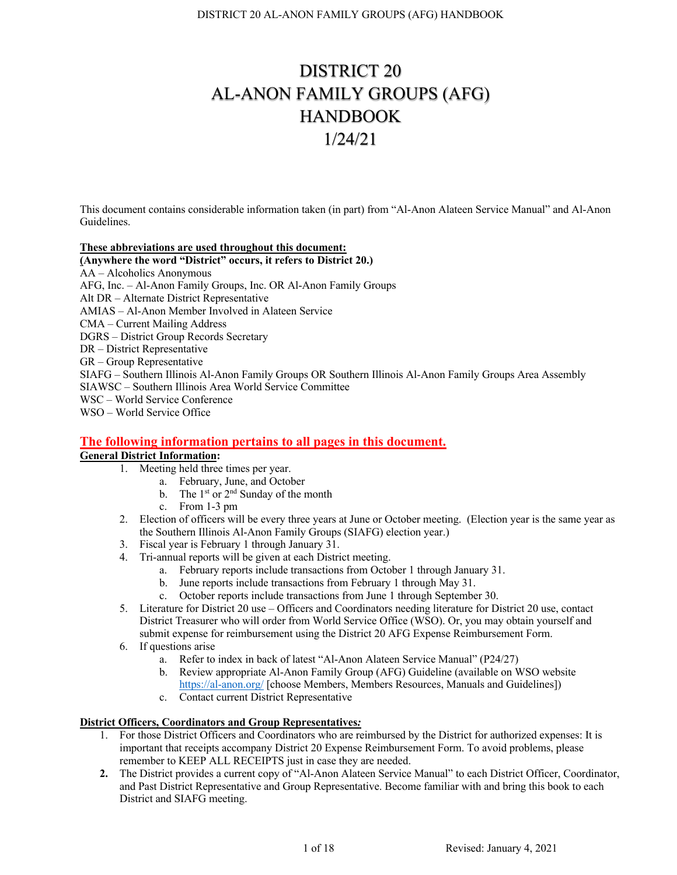# DISTRICT 20 AL-ANON FAMILY GROUPS (AFG) **HANDBOOK** 1/24/21

This document contains considerable information taken (in part) from "Al-Anon Alateen Service Manual" and Al-Anon Guidelines.

## **These abbreviations are used throughout this document:**

## **(Anywhere the word "District" occurs, it refers to District 20.)**

AA – Alcoholics Anonymous

AFG, Inc. – Al-Anon Family Groups, Inc. OR Al-Anon Family Groups

Alt DR – Alternate District Representative

AMIAS – Al-Anon Member Involved in Alateen Service

CMA – Current Mailing Address

DGRS – District Group Records Secretary

DR – District Representative

GR – Group Representative

SIAFG – Southern Illinois Al-Anon Family Groups OR Southern Illinois Al-Anon Family Groups Area Assembly SIAWSC – Southern Illinois Area World Service Committee

WSC – World Service Conference

WSO – World Service Office

# **The following information pertains to all pages in this document.**

# **General District Information:**

- 1. Meeting held three times per year.
	- a. February, June, and October
	- b. The  $1<sup>st</sup>$  or  $2<sup>nd</sup>$  Sunday of the month
	- c. From 1-3 pm
- 2. Election of officers will be every three years at June or October meeting. (Election year is the same year as the Southern Illinois Al-Anon Family Groups (SIAFG) election year.)
- 3. Fiscal year is February 1 through January 31.
- 4. Tri-annual reports will be given at each District meeting.
	- a. February reports include transactions from October 1 through January 31.
	- b. June reports include transactions from February 1 through May 31.
	- c. October reports include transactions from June 1 through September 30.
- 5. Literature for District 20 use Officers and Coordinators needing literature for District 20 use, contact District Treasurer who will order from World Service Office (WSO). Or, you may obtain yourself and submit expense for reimbursement using the District 20 AFG Expense Reimbursement Form.
- 6. If questions arise
	- a. Refer to index in back of latest "Al-Anon Alateen Service Manual" (P24/27)
	- b. Review appropriate Al-Anon Family Group (AFG) Guideline (available on WSO website https://al-anon.org/ [choose Members, Members Resources, Manuals and Guidelines])
	- c. Contact current District Representative

# **District Officers, Coordinators and Group Representatives***:*

- 1. For those District Officers and Coordinators who are reimbursed by the District for authorized expenses: It is important that receipts accompany District 20 Expense Reimbursement Form. To avoid problems, please remember to KEEP ALL RECEIPTS just in case they are needed.
- **2.** The District provides a current copy of "Al-Anon Alateen Service Manual" to each District Officer, Coordinator, and Past District Representative and Group Representative. Become familiar with and bring this book to each District and SIAFG meeting.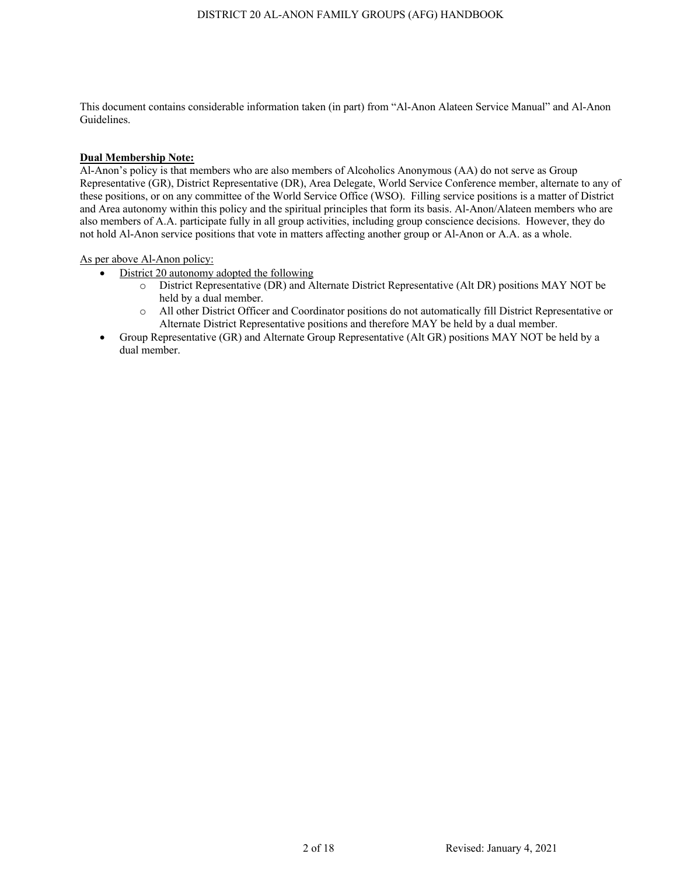# **Dual Membership Note:**

Al-Anon's policy is that members who are also members of Alcoholics Anonymous (AA) do not serve as Group Representative (GR), District Representative (DR), Area Delegate, World Service Conference member, alternate to any of these positions, or on any committee of the World Service Office (WSO). Filling service positions is a matter of District and Area autonomy within this policy and the spiritual principles that form its basis. Al-Anon/Alateen members who are also members of A.A. participate fully in all group activities, including group conscience decisions. However, they do not hold Al-Anon service positions that vote in matters affecting another group or Al-Anon or A.A. as a whole.

As per above Al-Anon policy:

- District 20 autonomy adopted the following
	- o District Representative (DR) and Alternate District Representative (Alt DR) positions MAY NOT be held by a dual member.
	- o All other District Officer and Coordinator positions do not automatically fill District Representative or Alternate District Representative positions and therefore MAY be held by a dual member.
- Group Representative (GR) and Alternate Group Representative (Alt GR) positions MAY NOT be held by a dual member.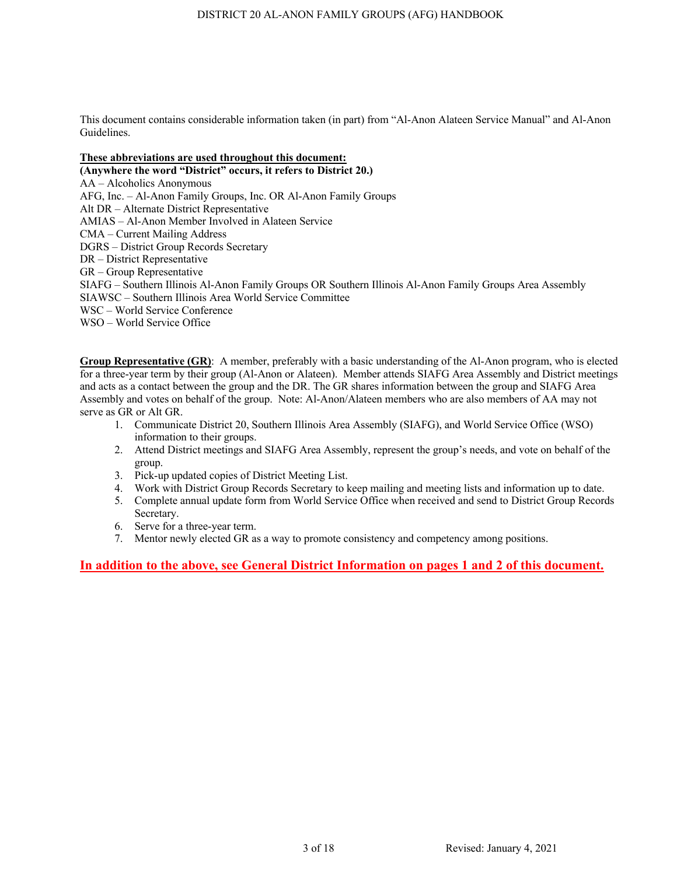# **These abbreviations are used throughout this document:**

**(Anywhere the word "District" occurs, it refers to District 20.)** AA – Alcoholics Anonymous AFG, Inc. – Al-Anon Family Groups, Inc. OR Al-Anon Family Groups Alt DR – Alternate District Representative AMIAS – Al-Anon Member Involved in Alateen Service CMA – Current Mailing Address DGRS – District Group Records Secretary DR – District Representative GR – Group Representative SIAFG – Southern Illinois Al-Anon Family Groups OR Southern Illinois Al-Anon Family Groups Area Assembly SIAWSC – Southern Illinois Area World Service Committee WSC – World Service Conference WSO – World Service Office

**Group Representative (GR)**: A member, preferably with a basic understanding of the Al-Anon program, who is elected for a three-year term by their group (Al-Anon or Alateen). Member attends SIAFG Area Assembly and District meetings and acts as a contact between the group and the DR. The GR shares information between the group and SIAFG Area Assembly and votes on behalf of the group. Note: Al-Anon/Alateen members who are also members of AA may not serve as GR or Alt GR.

- 1. Communicate District 20, Southern Illinois Area Assembly (SIAFG), and World Service Office (WSO) information to their groups.
- 2. Attend District meetings and SIAFG Area Assembly, represent the group's needs, and vote on behalf of the group.
- 3. Pick-up updated copies of District Meeting List.
- 4. Work with District Group Records Secretary to keep mailing and meeting lists and information up to date.
- 5. Complete annual update form from World Service Office when received and send to District Group Records Secretary.
- 6. Serve for a three-year term.
- 7. Mentor newly elected GR as a way to promote consistency and competency among positions.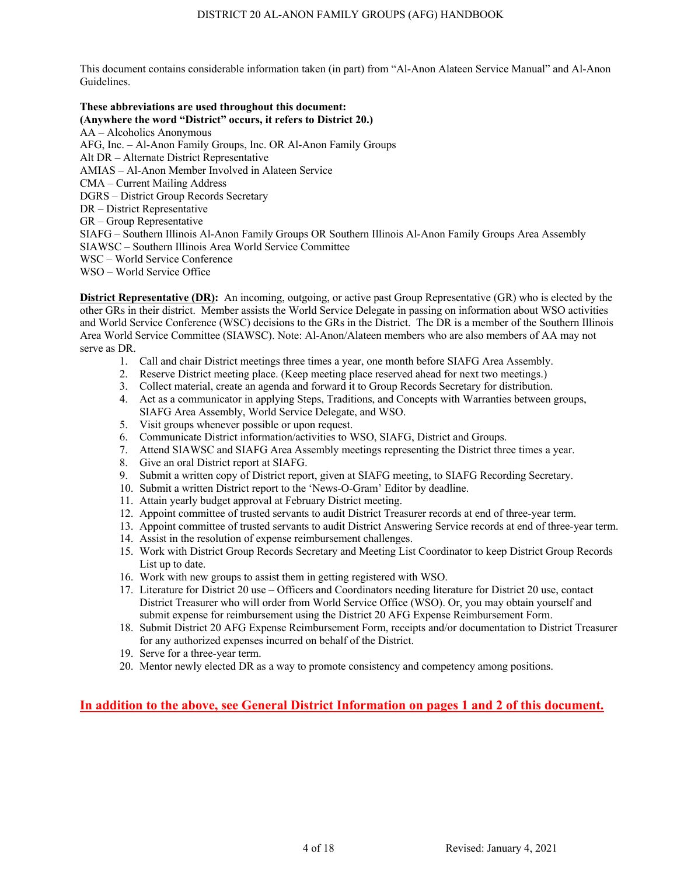#### **These abbreviations are used throughout this document: (Anywhere the word "District" occurs, it refers to District 20.)**

AA – Alcoholics Anonymous AFG, Inc. – Al-Anon Family Groups, Inc. OR Al-Anon Family Groups Alt DR – Alternate District Representative AMIAS – Al-Anon Member Involved in Alateen Service CMA – Current Mailing Address DGRS – District Group Records Secretary DR – District Representative GR – Group Representative SIAFG – Southern Illinois Al-Anon Family Groups OR Southern Illinois Al-Anon Family Groups Area Assembly SIAWSC – Southern Illinois Area World Service Committee WSC – World Service Conference WSO – World Service Office

**District Representative (DR):** An incoming, outgoing, or active past Group Representative (GR) who is elected by the other GRs in their district. Member assists the World Service Delegate in passing on information about WSO activities and World Service Conference (WSC) decisions to the GRs in the District. The DR is a member of the Southern Illinois Area World Service Committee (SIAWSC). Note: Al-Anon/Alateen members who are also members of AA may not serve as DR.

- 1. Call and chair District meetings three times a year, one month before SIAFG Area Assembly.
- 2. Reserve District meeting place. (Keep meeting place reserved ahead for next two meetings.)
- 3. Collect material, create an agenda and forward it to Group Records Secretary for distribution.
- 4. Act as a communicator in applying Steps, Traditions, and Concepts with Warranties between groups, SIAFG Area Assembly, World Service Delegate, and WSO.
- 5. Visit groups whenever possible or upon request.
- 6. Communicate District information/activities to WSO, SIAFG, District and Groups.
- 7. Attend SIAWSC and SIAFG Area Assembly meetings representing the District three times a year.
- 8. Give an oral District report at SIAFG.
- 9. Submit a written copy of District report, given at SIAFG meeting, to SIAFG Recording Secretary.
- 10. Submit a written District report to the 'News-O-Gram' Editor by deadline.
- 11. Attain yearly budget approval at February District meeting.
- 12. Appoint committee of trusted servants to audit District Treasurer records at end of three-year term.
- 13. Appoint committee of trusted servants to audit District Answering Service records at end of three-year term.
- 14. Assist in the resolution of expense reimbursement challenges.
- 15. Work with District Group Records Secretary and Meeting List Coordinator to keep District Group Records List up to date.
- 16. Work with new groups to assist them in getting registered with WSO.
- 17. Literature for District 20 use Officers and Coordinators needing literature for District 20 use, contact District Treasurer who will order from World Service Office (WSO). Or, you may obtain yourself and submit expense for reimbursement using the District 20 AFG Expense Reimbursement Form.
- 18. Submit District 20 AFG Expense Reimbursement Form, receipts and/or documentation to District Treasurer for any authorized expenses incurred on behalf of the District.
- 19. Serve for a three-year term.
- 20. Mentor newly elected DR as a way to promote consistency and competency among positions.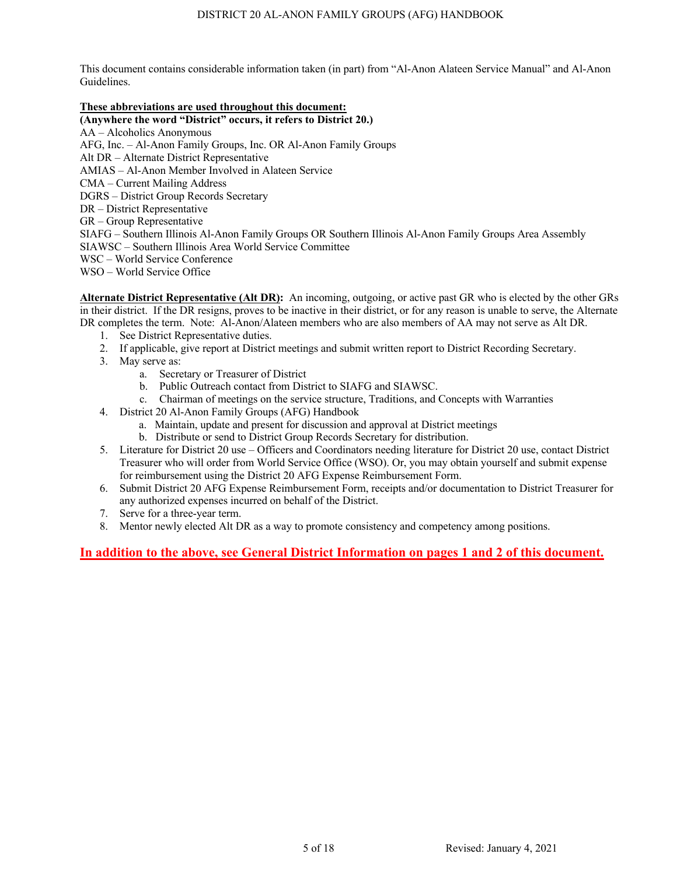# **These abbreviations are used throughout this document:**

**(Anywhere the word "District" occurs, it refers to District 20.)**

AA – Alcoholics Anonymous

AFG, Inc. – Al-Anon Family Groups, Inc. OR Al-Anon Family Groups

Alt DR – Alternate District Representative

AMIAS – Al-Anon Member Involved in Alateen Service

CMA – Current Mailing Address

DGRS – District Group Records Secretary

DR – District Representative

GR – Group Representative

SIAFG – Southern Illinois Al-Anon Family Groups OR Southern Illinois Al-Anon Family Groups Area Assembly SIAWSC – Southern Illinois Area World Service Committee

WSC – World Service Conference

WSO – World Service Office

**Alternate District Representative (Alt DR):** An incoming, outgoing, or active past GR who is elected by the other GRs in their district. If the DR resigns, proves to be inactive in their district, or for any reason is unable to serve, the Alternate DR completes the term. Note: Al-Anon/Alateen members who are also members of AA may not serve as Alt DR.

- 1. See District Representative duties.
- 2. If applicable, give report at District meetings and submit written report to District Recording Secretary.
- 3. May serve as:
	- a. Secretary or Treasurer of District
	- b. Public Outreach contact from District to SIAFG and SIAWSC.
	- c. Chairman of meetings on the service structure, Traditions, and Concepts with Warranties
- 4. District 20 Al-Anon Family Groups (AFG) Handbook
	- a. Maintain, update and present for discussion and approval at District meetings
	- b. Distribute or send to District Group Records Secretary for distribution.
- 5. Literature for District 20 use Officers and Coordinators needing literature for District 20 use, contact District Treasurer who will order from World Service Office (WSO). Or, you may obtain yourself and submit expense for reimbursement using the District 20 AFG Expense Reimbursement Form.
- 6. Submit District 20 AFG Expense Reimbursement Form, receipts and/or documentation to District Treasurer for any authorized expenses incurred on behalf of the District.
- 7. Serve for a three-year term.
- 8. Mentor newly elected Alt DR as a way to promote consistency and competency among positions.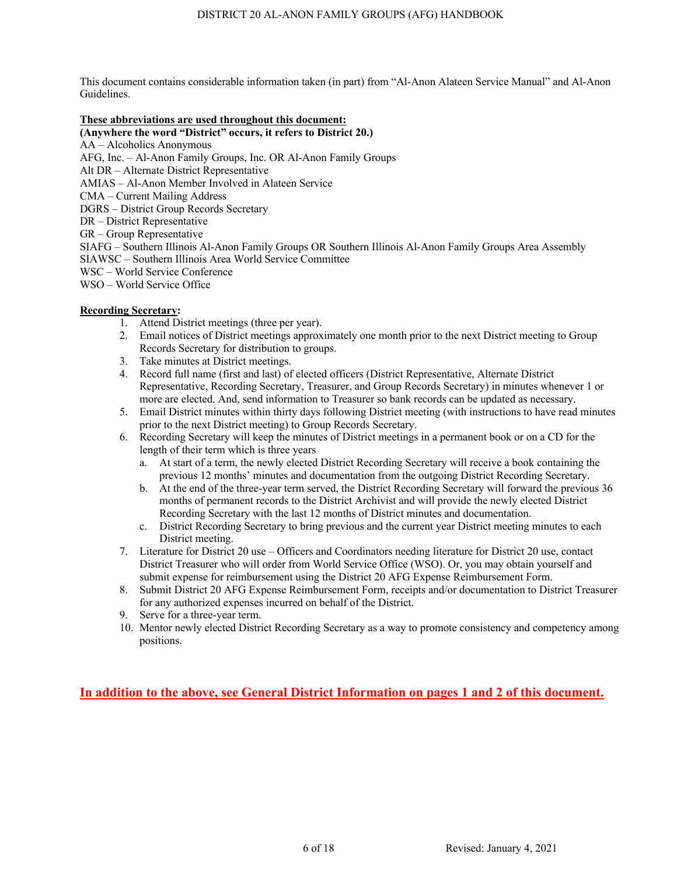## **These abbreviations are used throughout this document:**

- **(Anywhere the word "District" occurs, it refers to District 20.)**
- AA Alcoholics Anonymous
- AFG, Inc. Al-Anon Family Groups, Inc. OR Al-Anon Family Groups
- Alt DR Alternate District Representative
- AMIAS Al-Anon Member Involved in Alateen Service
- CMA Current Mailing Address
- DGRS District Group Records Secretary
- DR District Representative
- GR Group Representative
- SIAFG Southern Illinois Al-Anon Family Groups OR Southern Illinois Al-Anon Family Groups Area Assembly SIAWSC – Southern Illinois Area World Service Committee
- WSC World Service Conference
- WSO World Service Office

# **Recording Secretary:**

- 1. Attend District meetings (three per year).
- 2. Email notices of District meetings approximately one month prior to the next District meeting to Group Records Secretary for distribution to groups.
- 3. Take minutes at District meetings.
- 4. Record full name (first and last) of elected officers (District Representative, Alternate District Representative, Recording Secretary, Treasurer, and Group Records Secretary) in minutes whenever 1 or more are elected. And, send information to Treasurer so bank records can be updated as necessary.
- 5. Email District minutes within thirty days following District meeting (with instructions to have read minutes prior to the next District meeting) to Group Records Secretary.
- 6. Recording Secretary will keep the minutes of District meetings in a permanent book or on a CD for the length of their term which is three years
	- a. At start of a term, the newly elected District Recording Secretary will receive a book containing the previous 12 months' minutes and documentation from the outgoing District Recording Secretary.
	- b. At the end of the three-year term served, the District Recording Secretary will forward the previous 36 months of permanent records to the District Archivist and will provide the newly elected District Recording Secretary with the last 12 months of District minutes and documentation.
	- c. District Recording Secretary to bring previous and the current year District meeting minutes to each District meeting.
- 7. Literature for District 20 use Officers and Coordinators needing literature for District 20 use, contact District Treasurer who will order from World Service Office (WSO). Or, you may obtain yourself and submit expense for reimbursement using the District 20 AFG Expense Reimbursement Form.
- 8. Submit District 20 AFG Expense Reimbursement Form, receipts and/or documentation to District Treasurer for any authorized expenses incurred on behalf of the District.
- 9. Serve for a three-year term.
- 10. Mentor newly elected District Recording Secretary as a way to promote consistency and competency among positions.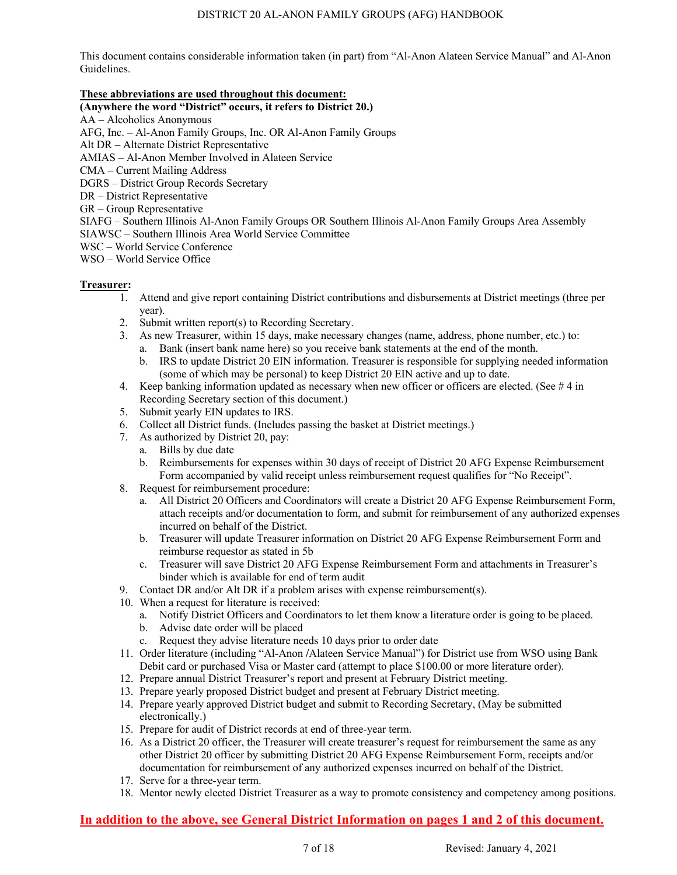# **These abbreviations are used throughout this document:**

# **(Anywhere the word "District" occurs, it refers to District 20.)**

AA – Alcoholics Anonymous

AFG, Inc. – Al-Anon Family Groups, Inc. OR Al-Anon Family Groups

Alt DR – Alternate District Representative

AMIAS – Al-Anon Member Involved in Alateen Service

CMA – Current Mailing Address

DGRS – District Group Records Secretary

- DR District Representative
- GR Group Representative

SIAFG – Southern Illinois Al-Anon Family Groups OR Southern Illinois Al-Anon Family Groups Area Assembly

- SIAWSC Southern Illinois Area World Service Committee
- WSC World Service Conference

WSO – World Service Office

# **Treasurer:**

- 1. Attend and give report containing District contributions and disbursements at District meetings (three per year).
- 2. Submit written report(s) to Recording Secretary.
- 3. As new Treasurer, within 15 days, make necessary changes (name, address, phone number, etc.) to:
	- a. Bank (insert bank name here) so you receive bank statements at the end of the month.
	- b. IRS to update District 20 EIN information. Treasurer is responsible for supplying needed information (some of which may be personal) to keep District 20 EIN active and up to date.
- 4. Keep banking information updated as necessary when new officer or officers are elected. (See # 4 in Recording Secretary section of this document.)
- 5. Submit yearly EIN updates to IRS.
- 6. Collect all District funds. (Includes passing the basket at District meetings.)
- 7. As authorized by District 20, pay:
	- a. Bills by due date
	- b. Reimbursements for expenses within 30 days of receipt of District 20 AFG Expense Reimbursement Form accompanied by valid receipt unless reimbursement request qualifies for "No Receipt".
- 8. Request for reimbursement procedure:
	- a. All District 20 Officers and Coordinators will create a District 20 AFG Expense Reimbursement Form, attach receipts and/or documentation to form, and submit for reimbursement of any authorized expenses incurred on behalf of the District.
	- b. Treasurer will update Treasurer information on District 20 AFG Expense Reimbursement Form and reimburse requestor as stated in 5b
	- c. Treasurer will save District 20 AFG Expense Reimbursement Form and attachments in Treasurer's binder which is available for end of term audit
- 9. Contact DR and/or Alt DR if a problem arises with expense reimbursement(s).
- 10. When a request for literature is received:
	- a. Notify District Officers and Coordinators to let them know a literature order is going to be placed.
		- b. Advise date order will be placed
		- c. Request they advise literature needs 10 days prior to order date
- 11. Order literature (including "Al-Anon **/**Alateen Service Manual") for District use from WSO using Bank Debit card or purchased Visa or Master card (attempt to place \$100.00 or more literature order).
- 12. Prepare annual District Treasurer's report and present at February District meeting.
- 13. Prepare yearly proposed District budget and present at February District meeting.
- 14. Prepare yearly approved District budget and submit to Recording Secretary, (May be submitted electronically.)
- 15. Prepare for audit of District records at end of three-year term.
- 16. As a District 20 officer, the Treasurer will create treasurer's request for reimbursement the same as any other District 20 officer by submitting District 20 AFG Expense Reimbursement Form, receipts and/or documentation for reimbursement of any authorized expenses incurred on behalf of the District.
- 17. Serve for a three-year term.
- 18. Mentor newly elected District Treasurer as a way to promote consistency and competency among positions.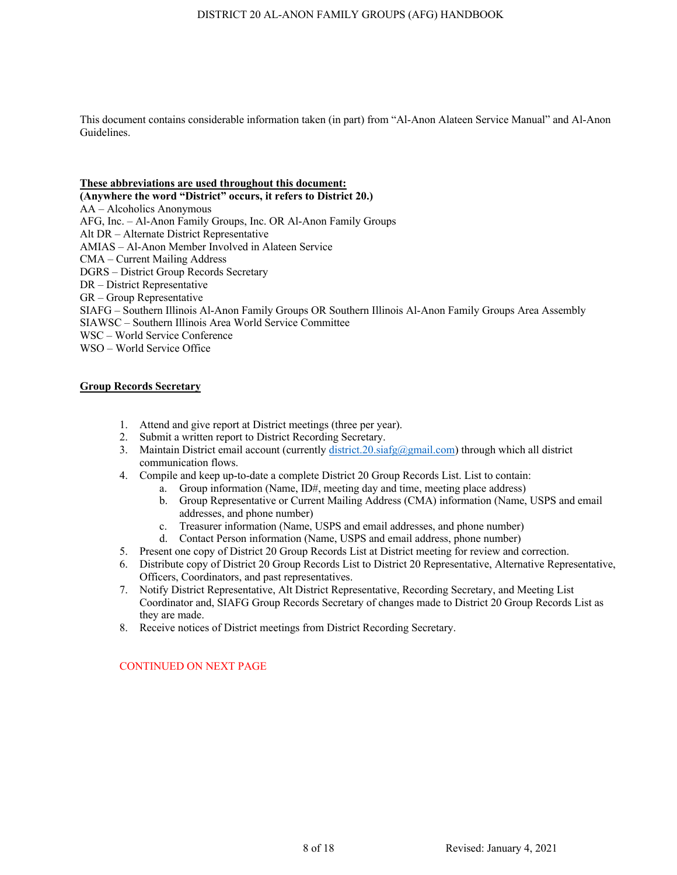#### **These abbreviations are used throughout this document:**

**(Anywhere the word "District" occurs, it refers to District 20.)** AA – Alcoholics Anonymous AFG, Inc. – Al-Anon Family Groups, Inc. OR Al-Anon Family Groups Alt DR – Alternate District Representative AMIAS – Al-Anon Member Involved in Alateen Service CMA – Current Mailing Address DGRS – District Group Records Secretary DR – District Representative GR – Group Representative SIAFG – Southern Illinois Al-Anon Family Groups OR Southern Illinois Al-Anon Family Groups Area Assembly SIAWSC – Southern Illinois Area World Service Committee WSC – World Service Conference WSO – World Service Office

## **Group Records Secretary**

- 1. Attend and give report at District meetings (three per year).
- 2. Submit a written report to District Recording Secretary.
- 3. Maintain District email account (currently district.20.siafg@gmail.com) through which all district communication flows.
- 4. Compile and keep up-to-date a complete District 20 Group Records List. List to contain:
	- a. Group information (Name, ID#, meeting day and time, meeting place address)
	- b. Group Representative or Current Mailing Address (CMA) information (Name, USPS and email addresses, and phone number)
	- c. Treasurer information (Name, USPS and email addresses, and phone number)
	- d. Contact Person information (Name, USPS and email address, phone number)
- 5. Present one copy of District 20 Group Records List at District meeting for review and correction.
- 6. Distribute copy of District 20 Group Records List to District 20 Representative, Alternative Representative, Officers, Coordinators, and past representatives.
- 7. Notify District Representative, Alt District Representative, Recording Secretary, and Meeting List Coordinator and, SIAFG Group Records Secretary of changes made to District 20 Group Records List as they are made.
- 8. Receive notices of District meetings from District Recording Secretary.

# CONTINUED ON NEXT PAGE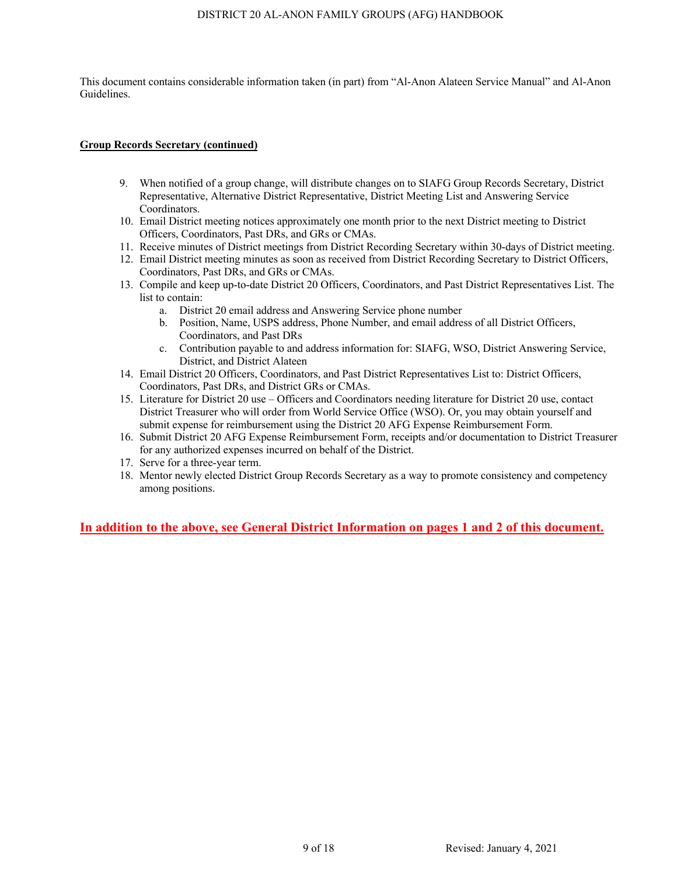#### DISTRICT 20 AL-ANON FAMILY GROUPS (AFG) HANDBOOK

This document contains considerable information taken (in part) from "Al-Anon Alateen Service Manual" and Al-Anon Guidelines.

# **Group Records Secretary (continued)**

- 9. When notified of a group change, will distribute changes on to SIAFG Group Records Secretary, District Representative, Alternative District Representative, District Meeting List and Answering Service Coordinators.
- 10. Email District meeting notices approximately one month prior to the next District meeting to District Officers, Coordinators, Past DRs, and GRs or CMAs.
- 11. Receive minutes of District meetings from District Recording Secretary within 30-days of District meeting.
- 12. Email District meeting minutes as soon as received from District Recording Secretary to District Officers, Coordinators, Past DRs, and GRs or CMAs.
- 13. Compile and keep up-to-date District 20 Officers, Coordinators, and Past District Representatives List. The list to contain:
	- a. District 20 email address and Answering Service phone number
	- b. Position, Name, USPS address, Phone Number, and email address of all District Officers, Coordinators, and Past DRs
	- c. Contribution payable to and address information for: SIAFG, WSO, District Answering Service, District, and District Alateen
- 14. Email District 20 Officers, Coordinators, and Past District Representatives List to: District Officers, Coordinators, Past DRs, and District GRs or CMAs.
- 15. Literature for District 20 use Officers and Coordinators needing literature for District 20 use, contact District Treasurer who will order from World Service Office (WSO). Or, you may obtain yourself and submit expense for reimbursement using the District 20 AFG Expense Reimbursement Form.
- 16. Submit District 20 AFG Expense Reimbursement Form, receipts and/or documentation to District Treasurer for any authorized expenses incurred on behalf of the District.
- 17. Serve for a three-year term.
- 18. Mentor newly elected District Group Records Secretary as a way to promote consistency and competency among positions.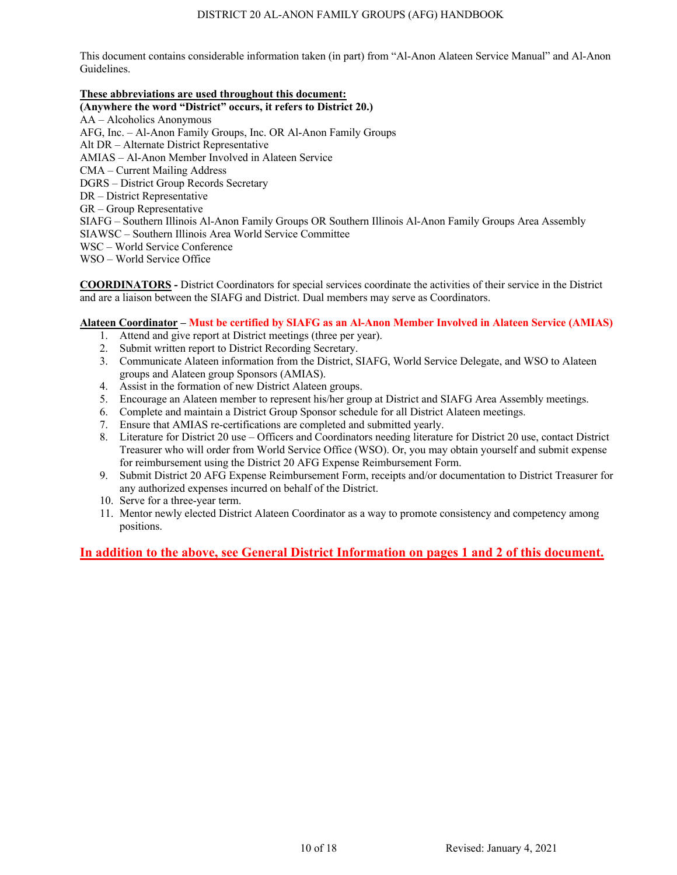# **These abbreviations are used throughout this document:**

**(Anywhere the word "District" occurs, it refers to District 20.)** 

AA – Alcoholics Anonymous AFG, Inc. – Al-Anon Family Groups, Inc. OR Al-Anon Family Groups Alt DR – Alternate District Representative AMIAS – Al-Anon Member Involved in Alateen Service CMA – Current Mailing Address DGRS – District Group Records Secretary DR – District Representative GR – Group Representative SIAFG – Southern Illinois Al-Anon Family Groups OR Southern Illinois Al-Anon Family Groups Area Assembly SIAWSC – Southern Illinois Area World Service Committee WSC – World Service Conference WSO – World Service Office

**COORDINATORS -** District Coordinators for special services coordinate the activities of their service in the District and are a liaison between the SIAFG and District. Dual members may serve as Coordinators.

# **Alateen Coordinator – Must be certified by SIAFG as an Al-Anon Member Involved in Alateen Service (AMIAS)**

- 1. Attend and give report at District meetings (three per year).
- 2. Submit written report to District Recording Secretary.
- 3. Communicate Alateen information from the District, SIAFG, World Service Delegate, and WSO to Alateen groups and Alateen group Sponsors (AMIAS).
- 4. Assist in the formation of new District Alateen groups.
- 5. Encourage an Alateen member to represent his/her group at District and SIAFG Area Assembly meetings.
- 6. Complete and maintain a District Group Sponsor schedule for all District Alateen meetings.
- 7. Ensure that AMIAS re-certifications are completed and submitted yearly.
- 8. Literature for District 20 use Officers and Coordinators needing literature for District 20 use, contact District Treasurer who will order from World Service Office (WSO). Or, you may obtain yourself and submit expense for reimbursement using the District 20 AFG Expense Reimbursement Form.
- 9. Submit District 20 AFG Expense Reimbursement Form, receipts and/or documentation to District Treasurer for any authorized expenses incurred on behalf of the District.
- 10. Serve for a three-year term.
- 11. Mentor newly elected District Alateen Coordinator as a way to promote consistency and competency among positions.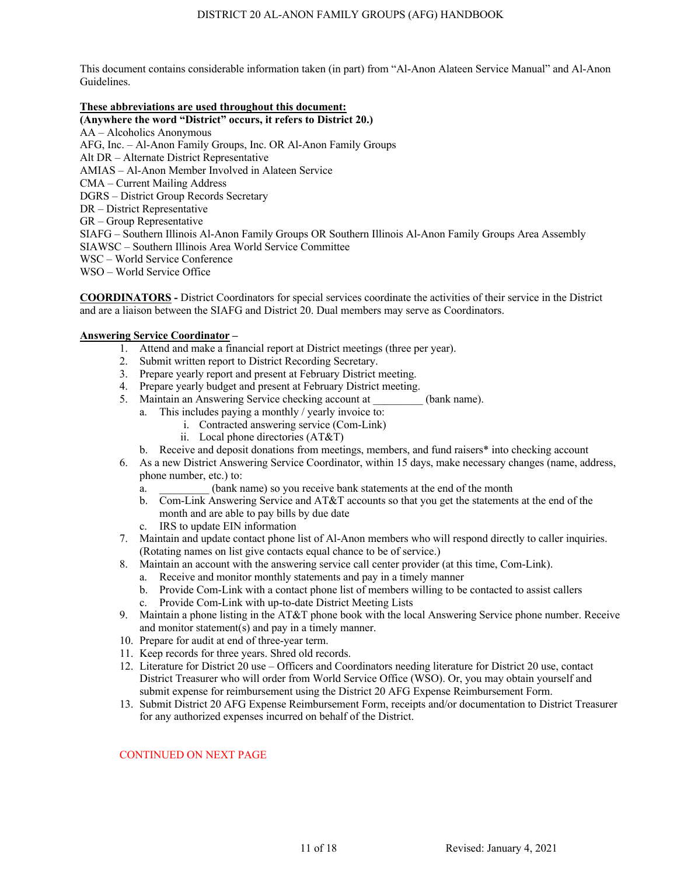# **These abbreviations are used throughout this document:**

**(Anywhere the word "District" occurs, it refers to District 20.)**  AA – Alcoholics Anonymous AFG, Inc. – Al-Anon Family Groups, Inc. OR Al-Anon Family Groups Alt DR – Alternate District Representative AMIAS – Al-Anon Member Involved in Alateen Service CMA – Current Mailing Address DGRS – District Group Records Secretary DR – District Representative GR – Group Representative SIAFG – Southern Illinois Al-Anon Family Groups OR Southern Illinois Al-Anon Family Groups Area Assembly SIAWSC – Southern Illinois Area World Service Committee WSC – World Service Conference WSO – World Service Office

**COORDINATORS -** District Coordinators for special services coordinate the activities of their service in the District and are a liaison between the SIAFG and District 20. Dual members may serve as Coordinators.

# **Answering Service Coordinator –**

- 1. Attend and make a financial report at District meetings (three per year).
- 2. Submit written report to District Recording Secretary.
- 3. Prepare yearly report and present at February District meeting.
- 4. Prepare yearly budget and present at February District meeting.
- 5. Maintain an Answering Service checking account at (bank name).
	- a. This includes paying a monthly / yearly invoice to:
		- i. Contracted answering service (Com-Link)
		- ii. Local phone directories (AT&T)
	- b. Receive and deposit donations from meetings, members, and fund raisers\* into checking account
- 6. As a new District Answering Service Coordinator, within 15 days, make necessary changes (name, address, phone number, etc.) to:
	- a. \_\_\_\_\_\_\_\_\_ (bank name) so you receive bank statements at the end of the month
	- b. Com-Link Answering Service and AT&T accounts so that you get the statements at the end of the month and are able to pay bills by due date
	- c. IRS to update EIN information
- 7. Maintain and update contact phone list of Al-Anon members who will respond directly to caller inquiries. (Rotating names on list give contacts equal chance to be of service.)
- 8. Maintain an account with the answering service call center provider (at this time, Com-Link).
	- a. Receive and monitor monthly statements and pay in a timely manner
		- b. Provide Com-Link with a contact phone list of members willing to be contacted to assist callers c. Provide Com-Link with up-to-date District Meeting Lists
- 9. Maintain a phone listing in the AT&T phone book with the local Answering Service phone number. Receive and monitor statement(s) and pay in a timely manner.
- 10. Prepare for audit at end of three-year term.
- 11. Keep records for three years. Shred old records.
- 12. Literature for District 20 use Officers and Coordinators needing literature for District 20 use, contact District Treasurer who will order from World Service Office (WSO). Or, you may obtain yourself and submit expense for reimbursement using the District 20 AFG Expense Reimbursement Form.
- 13. Submit District 20 AFG Expense Reimbursement Form, receipts and/or documentation to District Treasurer for any authorized expenses incurred on behalf of the District.

#### CONTINUED ON NEXT PAGE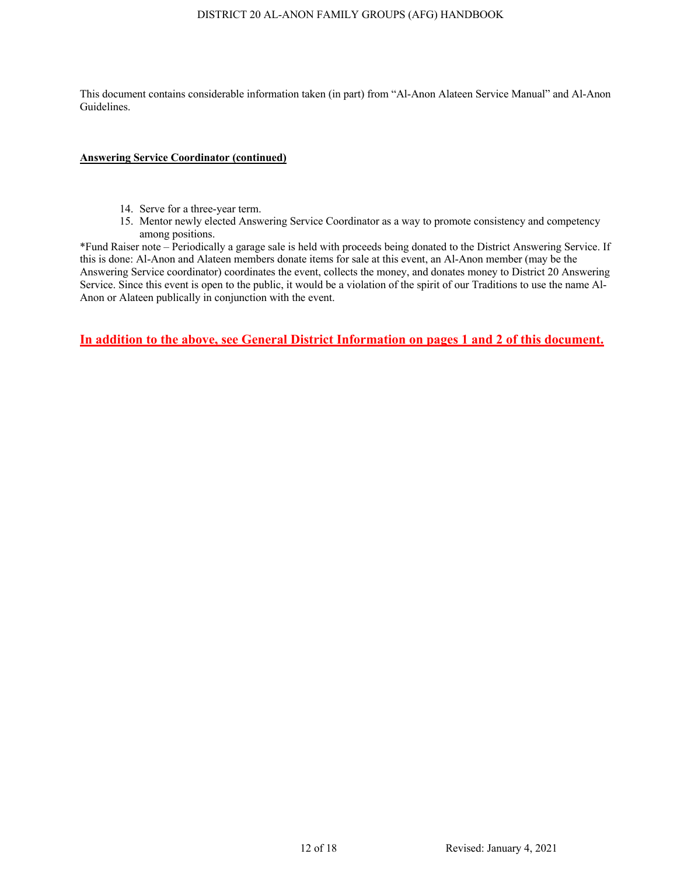# **Answering Service Coordinator (continued)**

- 14. Serve for a three-year term.
- 15. Mentor newly elected Answering Service Coordinator as a way to promote consistency and competency among positions.

\*Fund Raiser note – Periodically a garage sale is held with proceeds being donated to the District Answering Service. If this is done: Al-Anon and Alateen members donate items for sale at this event, an Al-Anon member (may be the Answering Service coordinator) coordinates the event, collects the money, and donates money to District 20 Answering Service. Since this event is open to the public, it would be a violation of the spirit of our Traditions to use the name Al-Anon or Alateen publically in conjunction with the event.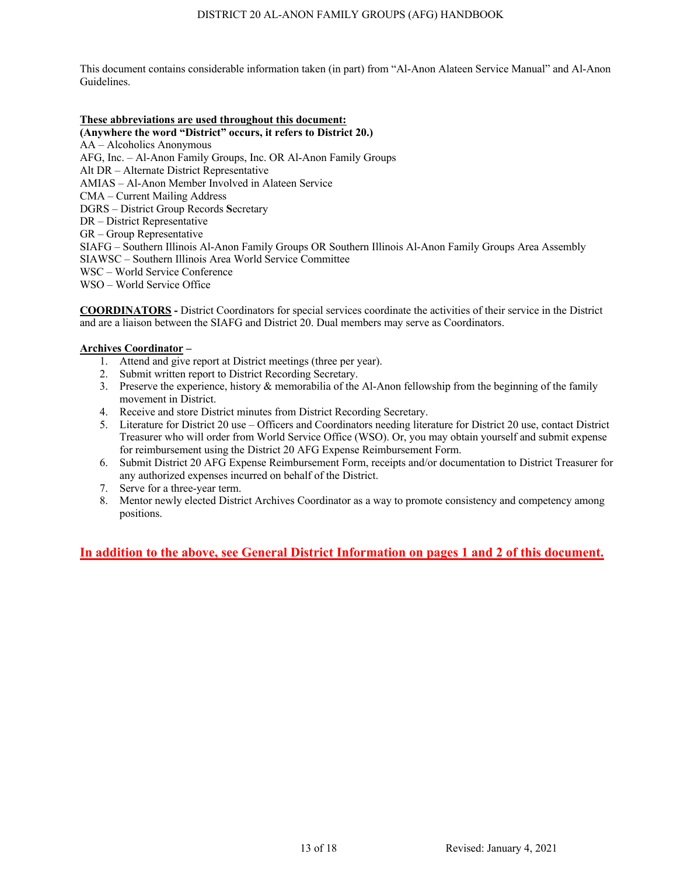## **These abbreviations are used throughout this document:**

**(Anywhere the word "District" occurs, it refers to District 20.)** AA – Alcoholics Anonymous AFG, Inc. – Al-Anon Family Groups, Inc. OR Al-Anon Family Groups Alt DR – Alternate District Representative AMIAS – Al-Anon Member Involved in Alateen Service CMA – Current Mailing Address DGRS – District Group Records **S**ecretary DR – District Representative GR – Group Representative SIAFG – Southern Illinois Al-Anon Family Groups OR Southern Illinois Al-Anon Family Groups Area Assembly SIAWSC – Southern Illinois Area World Service Committee WSC – World Service Conference WSO – World Service Office

**COORDINATORS -** District Coordinators for special services coordinate the activities of their service in the District and are a liaison between the SIAFG and District 20. Dual members may serve as Coordinators.

## **Archives Coordinator –**

- 1. Attend and give report at District meetings (three per year).
- 2. Submit written report to District Recording Secretary.
- 3. Preserve the experience, history & memorabilia of the Al-Anon fellowship from the beginning of the family movement in District.
- 4. Receive and store District minutes from District Recording Secretary.
- 5. Literature for District 20 use Officers and Coordinators needing literature for District 20 use, contact District Treasurer who will order from World Service Office (WSO). Or, you may obtain yourself and submit expense for reimbursement using the District 20 AFG Expense Reimbursement Form.
- 6. Submit District 20 AFG Expense Reimbursement Form, receipts and/or documentation to District Treasurer for any authorized expenses incurred on behalf of the District.
- 7. Serve for a three-year term.
- 8. Mentor newly elected District Archives Coordinator as a way to promote consistency and competency among positions.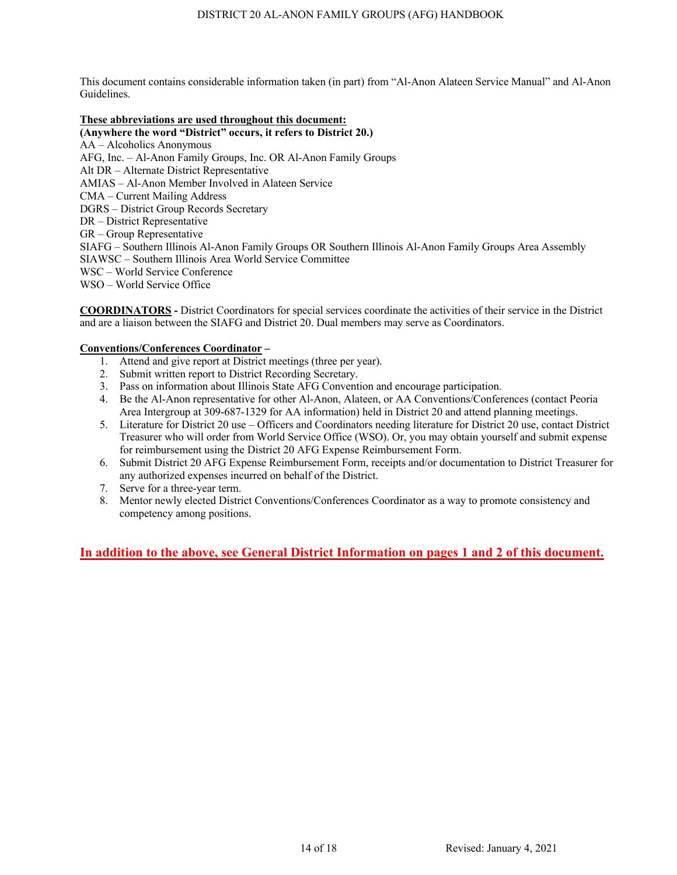#### **These abbreviations are used throughout this document:**

**(Anywhere the word "District" occurs, it refers to District 20.)**  AA – Alcoholics Anonymous AFG, Inc. – Al-Anon Family Groups, Inc. OR Al-Anon Family Groups Alt DR – Alternate District Representative AMIAS – Al-Anon Member Involved in Alateen Service CMA – Current Mailing Address DGRS – District Group Records Secretary DR – District Representative GR – Group Representative SIAFG – Southern Illinois Al-Anon Family Groups OR Southern Illinois Al-Anon Family Groups Area Assembly SIAWSC – Southern Illinois Area World Service Committee WSC – World Service Conference WSO – World Service Office

**COORDINATORS -** District Coordinators for special services coordinate the activities of their service in the District and are a liaison between the SIAFG and District 20. Dual members may serve as Coordinators.

# **Conventions/Conferences Coordinator –**

- 1. Attend and give report at District meetings (three per year).
- 2. Submit written report to District Recording Secretary.
- 3. Pass on information about Illinois State AFG Convention and encourage participation.
- 4. Be the Al-Anon representative for other Al-Anon, Alateen, or AA Conventions/Conferences (contact Peoria Area Intergroup at 309-687-1329 for AA information) held in District 20 and attend planning meetings.
- 5. Literature for District 20 use Officers and Coordinators needing literature for District 20 use, contact District Treasurer who will order from World Service Office (WSO). Or, you may obtain yourself and submit expense for reimbursement using the District 20 AFG Expense Reimbursement Form.
- 6. Submit District 20 AFG Expense Reimbursement Form, receipts and/or documentation to District Treasurer for any authorized expenses incurred on behalf of the District.
- 7. Serve for a three-year term.
- 8. Mentor newly elected District Conventions/Conferences Coordinator as a way to promote consistency and competency among positions.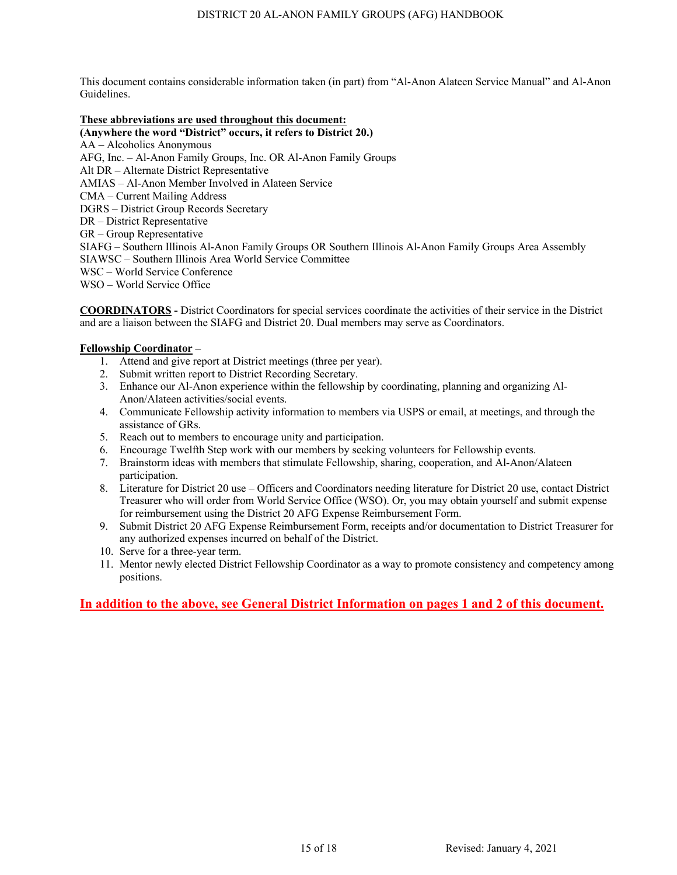#### **These abbreviations are used throughout this document:**

**(Anywhere the word "District" occurs, it refers to District 20.)**  AA – Alcoholics Anonymous AFG, Inc. – Al-Anon Family Groups, Inc. OR Al-Anon Family Groups Alt DR – Alternate District Representative AMIAS – Al-Anon Member Involved in Alateen Service CMA – Current Mailing Address DGRS – District Group Records Secretary DR – District Representative GR – Group Representative SIAFG – Southern Illinois Al-Anon Family Groups OR Southern Illinois Al-Anon Family Groups Area Assembly SIAWSC – Southern Illinois Area World Service Committee WSC – World Service Conference WSO – World Service Office

**COORDINATORS -** District Coordinators for special services coordinate the activities of their service in the District and are a liaison between the SIAFG and District 20. Dual members may serve as Coordinators.

## **Fellowship Coordinator –**

- 1. Attend and give report at District meetings (three per year).
- 2. Submit written report to District Recording Secretary.
- 3. Enhance our Al-Anon experience within the fellowship by coordinating, planning and organizing Al-Anon/Alateen activities/social events.
- 4. Communicate Fellowship activity information to members via USPS or email, at meetings, and through the assistance of GRs.
- 5. Reach out to members to encourage unity and participation.
- 6. Encourage Twelfth Step work with our members by seeking volunteers for Fellowship events.
- 7. Brainstorm ideas with members that stimulate Fellowship, sharing, cooperation, and Al-Anon/Alateen participation.
- 8. Literature for District 20 use Officers and Coordinators needing literature for District 20 use, contact District Treasurer who will order from World Service Office (WSO). Or, you may obtain yourself and submit expense for reimbursement using the District 20 AFG Expense Reimbursement Form.
- 9. Submit District 20 AFG Expense Reimbursement Form, receipts and/or documentation to District Treasurer for any authorized expenses incurred on behalf of the District.
- 10. Serve for a three-year term.
- 11. Mentor newly elected District Fellowship Coordinator as a way to promote consistency and competency among positions.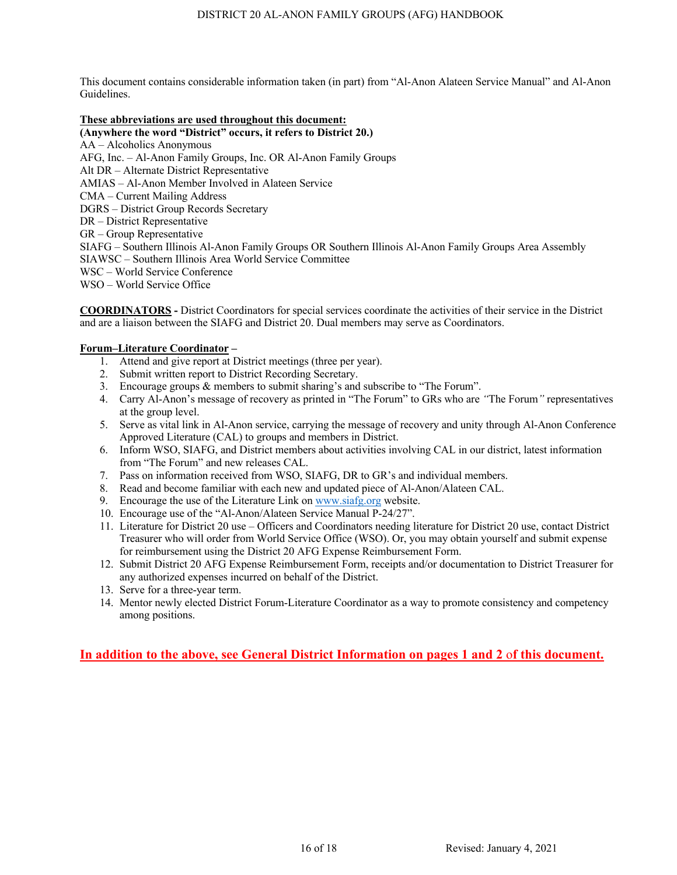#### **These abbreviations are used throughout this document:**

**(Anywhere the word "District" occurs, it refers to District 20.)**  AA – Alcoholics Anonymous AFG, Inc. – Al-Anon Family Groups, Inc. OR Al-Anon Family Groups Alt DR – Alternate District Representative AMIAS – Al-Anon Member Involved in Alateen Service CMA – Current Mailing Address DGRS – District Group Records Secretary DR – District Representative GR – Group Representative SIAFG – Southern Illinois Al-Anon Family Groups OR Southern Illinois Al-Anon Family Groups Area Assembly SIAWSC – Southern Illinois Area World Service Committee WSC – World Service Conference WSO – World Service Office

**COORDINATORS -** District Coordinators for special services coordinate the activities of their service in the District and are a liaison between the SIAFG and District 20. Dual members may serve as Coordinators.

## **Forum–Literature Coordinator –**

- 1. Attend and give report at District meetings (three per year).
- 2. Submit written report to District Recording Secretary.
- 3. Encourage groups & members to submit sharing's and subscribe to "The Forum".
- 4. Carry Al-Anon's message of recovery as printed in "The Forum" to GRs who are *"*The Forum*"* representatives at the group level.
- 5. Serve as vital link in Al-Anon service, carrying the message of recovery and unity through Al-Anon Conference Approved Literature (CAL) to groups and members in District.
- 6. Inform WSO, SIAFG, and District members about activities involving CAL in our district, latest information from "The Forum" and new releases CAL.
- 7. Pass on information received from WSO, SIAFG, DR to GR's and individual members.
- 8. Read and become familiar with each new and updated piece of Al-Anon/Alateen CAL.
- 9. Encourage the use of the Literature Link on www.siafg.org website.
- 10. Encourage use of the "Al-Anon/Alateen Service Manual P-24/27".
- 11. Literature for District 20 use Officers and Coordinators needing literature for District 20 use, contact District Treasurer who will order from World Service Office (WSO). Or, you may obtain yourself and submit expense for reimbursement using the District 20 AFG Expense Reimbursement Form.
- 12. Submit District 20 AFG Expense Reimbursement Form, receipts and/or documentation to District Treasurer for any authorized expenses incurred on behalf of the District.
- 13. Serve for a three-year term.
- 14. Mentor newly elected District Forum-Literature Coordinator as a way to promote consistency and competency among positions.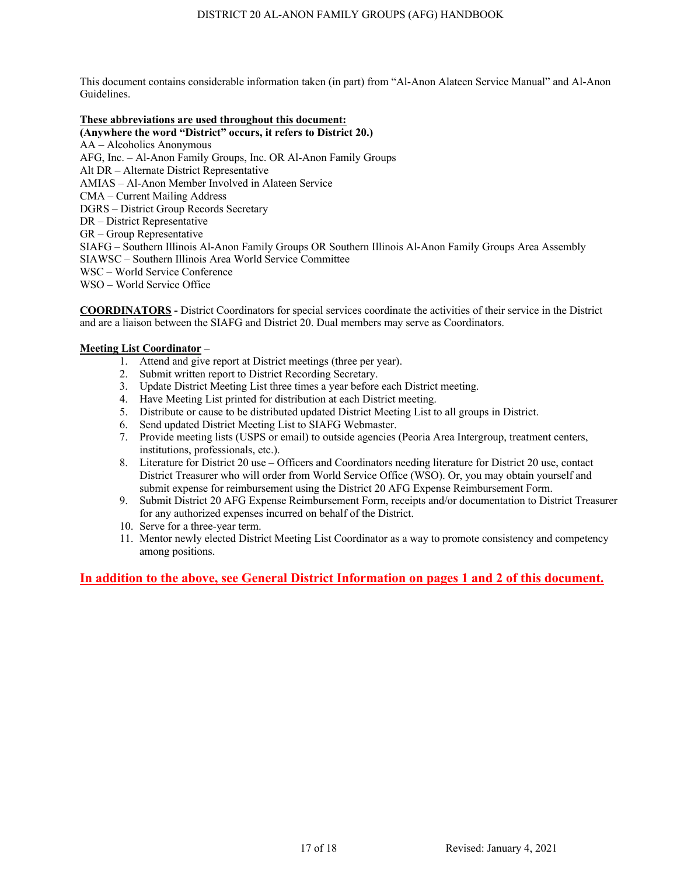#### **These abbreviations are used throughout this document:**

**(Anywhere the word "District" occurs, it refers to District 20.)**  AA – Alcoholics Anonymous AFG, Inc. – Al-Anon Family Groups, Inc. OR Al-Anon Family Groups Alt DR – Alternate District Representative AMIAS – Al-Anon Member Involved in Alateen Service CMA – Current Mailing Address DGRS – District Group Records Secretary DR – District Representative GR – Group Representative SIAFG – Southern Illinois Al-Anon Family Groups OR Southern Illinois Al-Anon Family Groups Area Assembly SIAWSC – Southern Illinois Area World Service Committee WSC – World Service Conference WSO – World Service Office

**COORDINATORS -** District Coordinators for special services coordinate the activities of their service in the District and are a liaison between the SIAFG and District 20. Dual members may serve as Coordinators.

## **Meeting List Coordinator –**

- 1. Attend and give report at District meetings (three per year).
- 2. Submit written report to District Recording Secretary.
- 3. Update District Meeting List three times a year before each District meeting.
- 4. Have Meeting List printed for distribution at each District meeting.
- 5. Distribute or cause to be distributed updated District Meeting List to all groups in District.
- 6. Send updated District Meeting List to SIAFG Webmaster.
- 7. Provide meeting lists (USPS or email) to outside agencies (Peoria Area Intergroup, treatment centers, institutions, professionals, etc.).
- 8. Literature for District 20 use Officers and Coordinators needing literature for District 20 use, contact District Treasurer who will order from World Service Office (WSO). Or, you may obtain yourself and submit expense for reimbursement using the District 20 AFG Expense Reimbursement Form.
- 9. Submit District 20 AFG Expense Reimbursement Form, receipts and/or documentation to District Treasurer for any authorized expenses incurred on behalf of the District.
- 10. Serve for a three-year term.
- 11. Mentor newly elected District Meeting List Coordinator as a way to promote consistency and competency among positions.